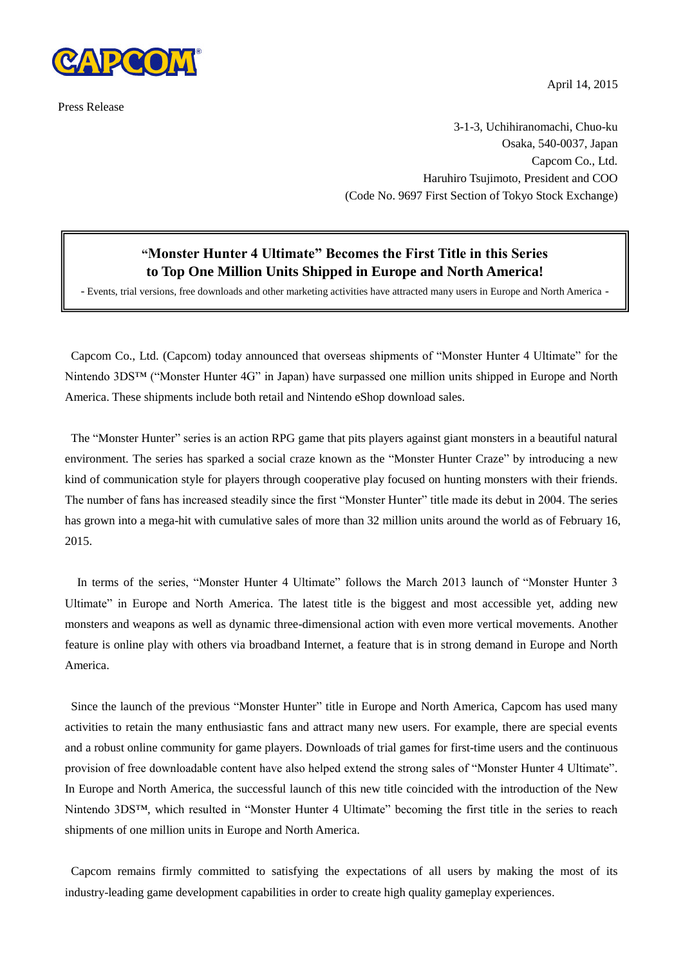

Press Release

April 14, 2015

3-1-3, Uchihiranomachi, Chuo-ku Osaka, 540-0037, Japan Capcom Co., Ltd. Haruhiro Tsujimoto, President and COO (Code No. 9697 First Section of Tokyo Stock Exchange)

## **"Monster Hunter 4 Ultimate" Becomes the First Title in this Series to Top One Million Units Shipped in Europe and North America!**

- Events, trial versions, free downloads and other marketing activities have attracted many users in Europe and North America -

Capcom Co., Ltd. (Capcom) today announced that overseas shipments of "Monster Hunter 4 Ultimate" for the Nintendo 3DS™ ("Monster Hunter 4G" in Japan) have surpassed one million units shipped in Europe and North America. These shipments include both retail and Nintendo eShop download sales.

The "Monster Hunter" series is an action RPG game that pits players against giant monsters in a beautiful natural environment. The series has sparked a social craze known as the "Monster Hunter Craze" by introducing a new kind of communication style for players through cooperative play focused on hunting monsters with their friends. The number of fans has increased steadily since the first "Monster Hunter" title made its debut in 2004. The series has grown into a mega-hit with cumulative sales of more than 32 million units around the world as of February 16, 2015.

In terms of the series, "Monster Hunter 4 Ultimate" follows the March 2013 launch of "Monster Hunter 3 Ultimate" in Europe and North America. The latest title is the biggest and most accessible yet, adding new monsters and weapons as well as dynamic three-dimensional action with even more vertical movements. Another feature is online play with others via broadband Internet, a feature that is in strong demand in Europe and North America.

Since the launch of the previous "Monster Hunter" title in Europe and North America, Capcom has used many activities to retain the many enthusiastic fans and attract many new users. For example, there are special events and a robust online community for game players. Downloads of trial games for first-time users and the continuous provision of free downloadable content have also helped extend the strong sales of "Monster Hunter 4 Ultimate". In Europe and North America, the successful launch of this new title coincided with the introduction of the New Nintendo 3DS™, which resulted in "Monster Hunter 4 Ultimate" becoming the first title in the series to reach shipments of one million units in Europe and North America.

Capcom remains firmly committed to satisfying the expectations of all users by making the most of its industry-leading game development capabilities in order to create high quality gameplay experiences.